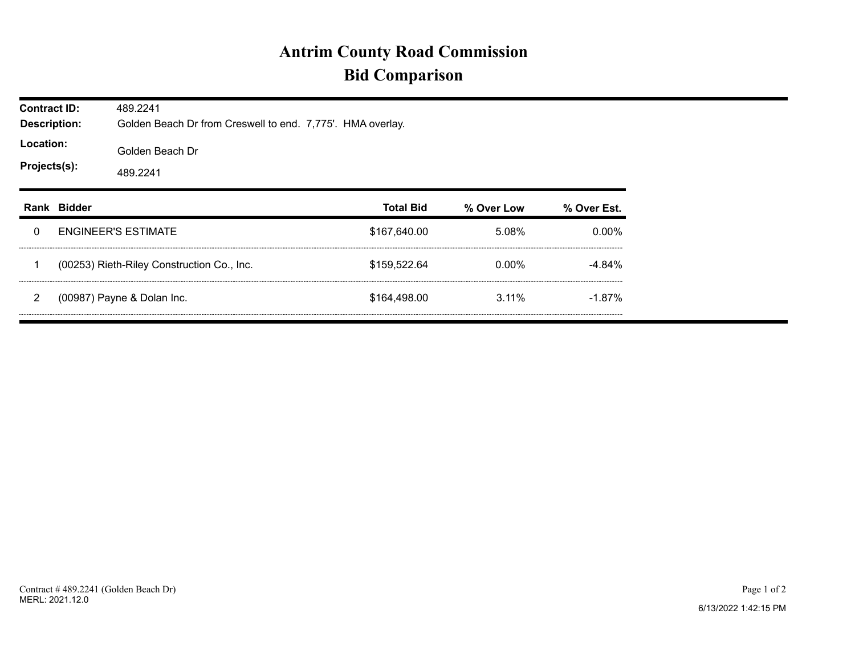## **Antrim County Road Commission Bid Comparison**

| <b>Contract ID:</b><br><b>Description:</b><br>Location:<br>Projects(s): |               | 489.2241<br>Golden Beach Dr from Creswell to end. 7,775'. HMA overlay. |                  |            |             |  |  |  |  |
|-------------------------------------------------------------------------|---------------|------------------------------------------------------------------------|------------------|------------|-------------|--|--|--|--|
|                                                                         |               | Golden Beach Dr<br>489.2241                                            |                  |            |             |  |  |  |  |
| Rank                                                                    | <b>Bidder</b> |                                                                        | <b>Total Bid</b> | % Over Low | % Over Est. |  |  |  |  |
| 0                                                                       |               | <b>ENGINEER'S ESTIMATE</b>                                             | \$167,640.00     | 5.08%      | $0.00\%$    |  |  |  |  |
|                                                                         |               | (00253) Rieth-Riley Construction Co., Inc.                             | \$159,522.64     | 0.00%      | $-4.84%$    |  |  |  |  |
| 2                                                                       |               | (00987) Payne & Dolan Inc.                                             | \$164,498.00     | $3.11\%$   | $-1.87\%$   |  |  |  |  |